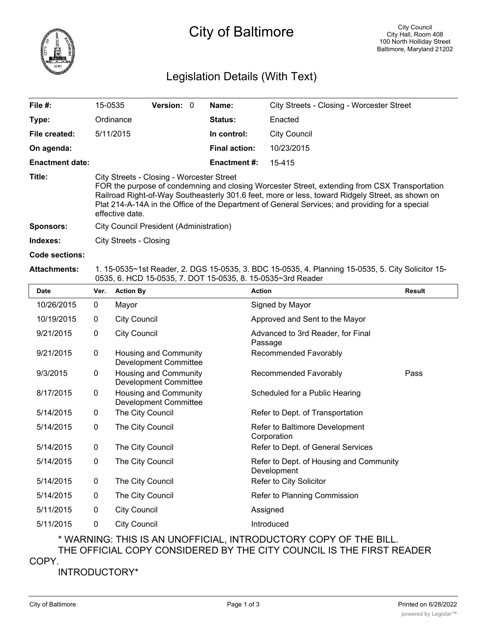

## Legislation Details (With Text)

| File $#$ :             | 15-0535                                                                                                                                                                                                                                                                                                                                                              | <b>Version: 0</b> | Name:                | City Streets - Closing - Worcester Street |  |  |  |
|------------------------|----------------------------------------------------------------------------------------------------------------------------------------------------------------------------------------------------------------------------------------------------------------------------------------------------------------------------------------------------------------------|-------------------|----------------------|-------------------------------------------|--|--|--|
| Type:                  | Ordinance                                                                                                                                                                                                                                                                                                                                                            |                   | Status:              | Enacted                                   |  |  |  |
| File created:          | 5/11/2015                                                                                                                                                                                                                                                                                                                                                            |                   | In control:          | <b>City Council</b>                       |  |  |  |
| On agenda:             |                                                                                                                                                                                                                                                                                                                                                                      |                   | <b>Final action:</b> | 10/23/2015                                |  |  |  |
| <b>Enactment date:</b> |                                                                                                                                                                                                                                                                                                                                                                      |                   | <b>Enactment #:</b>  | 15-415                                    |  |  |  |
| Title:                 | City Streets - Closing - Worcester Street<br>FOR the purpose of condemning and closing Worcester Street, extending from CSX Transportation<br>Railroad Right-of-Way Southeasterly 301.6 feet, more or less, toward Ridgely Street, as shown on<br>Plat 214-A-14A in the Office of the Department of General Services; and providing for a special<br>effective date. |                   |                      |                                           |  |  |  |
| Sponsors:              | City Council President (Administration)                                                                                                                                                                                                                                                                                                                              |                   |                      |                                           |  |  |  |
| Indexes:               | City Streets - Closing                                                                                                                                                                                                                                                                                                                                               |                   |                      |                                           |  |  |  |

**Code sections:**

## **Attachments:** 1. 15-0535~1st Reader, 2. DGS 15-0535, 3. BDC 15-0535, 4. Planning 15-0535, 5. City Solicitor 15- 0535, 6. HCD 15-0535, 7. DOT 15-0535, 8. 15-0535~3rd Reader

| <b>Date</b> | Ver.         | <b>Action By</b>                                      | <b>Action</b>                                          | <b>Result</b> |
|-------------|--------------|-------------------------------------------------------|--------------------------------------------------------|---------------|
| 10/26/2015  | $\mathbf 0$  | Mayor                                                 | Signed by Mayor                                        |               |
| 10/19/2015  | 0            | <b>City Council</b>                                   | Approved and Sent to the Mayor                         |               |
| 9/21/2015   | 0            | <b>City Council</b>                                   | Advanced to 3rd Reader, for Final<br>Passage           |               |
| 9/21/2015   | 0            | Housing and Community<br><b>Development Committee</b> | Recommended Favorably                                  |               |
| 9/3/2015    | $\mathbf{0}$ | Housing and Community<br><b>Development Committee</b> | Recommended Favorably                                  | Pass          |
| 8/17/2015   | 0            | Housing and Community<br><b>Development Committee</b> | Scheduled for a Public Hearing                         |               |
| 5/14/2015   | 0            | The City Council                                      | Refer to Dept. of Transportation                       |               |
| 5/14/2015   | 0            | The City Council                                      | Refer to Baltimore Development<br>Corporation          |               |
| 5/14/2015   | 0            | The City Council                                      | Refer to Dept. of General Services                     |               |
| 5/14/2015   | $\mathbf 0$  | The City Council                                      | Refer to Dept. of Housing and Community<br>Development |               |
| 5/14/2015   | $\mathbf 0$  | The City Council                                      | Refer to City Solicitor                                |               |
| 5/14/2015   | 0            | The City Council                                      | Refer to Planning Commission                           |               |
| 5/11/2015   | 0            | <b>City Council</b>                                   | Assigned                                               |               |
| 5/11/2015   | $\mathbf 0$  | <b>City Council</b>                                   | Introduced                                             |               |

\* WARNING: THIS IS AN UNOFFICIAL, INTRODUCTORY COPY OF THE BILL. THE OFFICIAL COPY CONSIDERED BY THE CITY COUNCIL IS THE FIRST READER

COPY.

INTRODUCTORY\*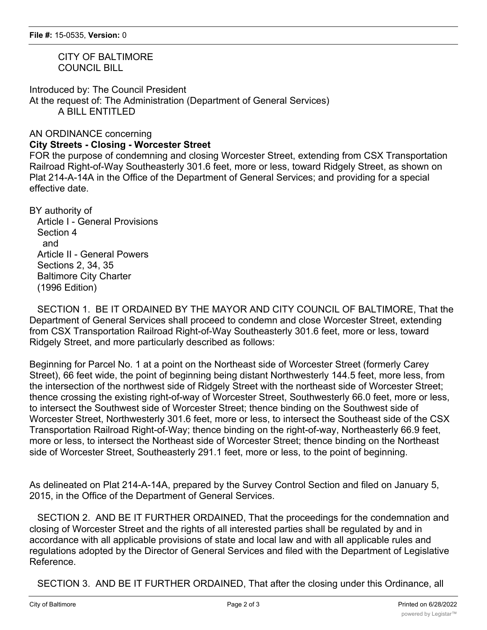CITY OF BALTIMORE COUNCIL BILL

Introduced by: The Council President At the request of: The Administration (Department of General Services) A BILL ENTITLED

## AN ORDINANCE concerning **City Streets - Closing - Worcester Street**

FOR the purpose of condemning and closing Worcester Street, extending from CSX Transportation Railroad Right-of-Way Southeasterly 301.6 feet, more or less, toward Ridgely Street, as shown on Plat 214-A-14A in the Office of the Department of General Services; and providing for a special effective date.

BY authority of

 Article I - General Provisions Section 4 and Article II - General Powers Sections 2, 34, 35 Baltimore City Charter (1996 Edition)

 SECTION 1. BE IT ORDAINED BY THE MAYOR AND CITY COUNCIL OF BALTIMORE, That the Department of General Services shall proceed to condemn and close Worcester Street, extending from CSX Transportation Railroad Right-of-Way Southeasterly 301.6 feet, more or less, toward Ridgely Street, and more particularly described as follows:

Beginning for Parcel No. 1 at a point on the Northeast side of Worcester Street (formerly Carey Street), 66 feet wide, the point of beginning being distant Northwesterly 144.5 feet, more less, from the intersection of the northwest side of Ridgely Street with the northeast side of Worcester Street; thence crossing the existing right-of-way of Worcester Street, Southwesterly 66.0 feet, more or less, to intersect the Southwest side of Worcester Street; thence binding on the Southwest side of Worcester Street, Northwesterly 301.6 feet, more or less, to intersect the Southeast side of the CSX Transportation Railroad Right-of-Way; thence binding on the right-of-way, Northeasterly 66.9 feet, more or less, to intersect the Northeast side of Worcester Street; thence binding on the Northeast side of Worcester Street, Southeasterly 291.1 feet, more or less, to the point of beginning.

As delineated on Plat 214-A-14A, prepared by the Survey Control Section and filed on January 5, 2015, in the Office of the Department of General Services.

 SECTION 2. AND BE IT FURTHER ORDAINED, That the proceedings for the condemnation and closing of Worcester Street and the rights of all interested parties shall be regulated by and in accordance with all applicable provisions of state and local law and with all applicable rules and regulations adopted by the Director of General Services and filed with the Department of Legislative Reference.

SECTION 3. AND BE IT FURTHER ORDAINED, That after the closing under this Ordinance, all